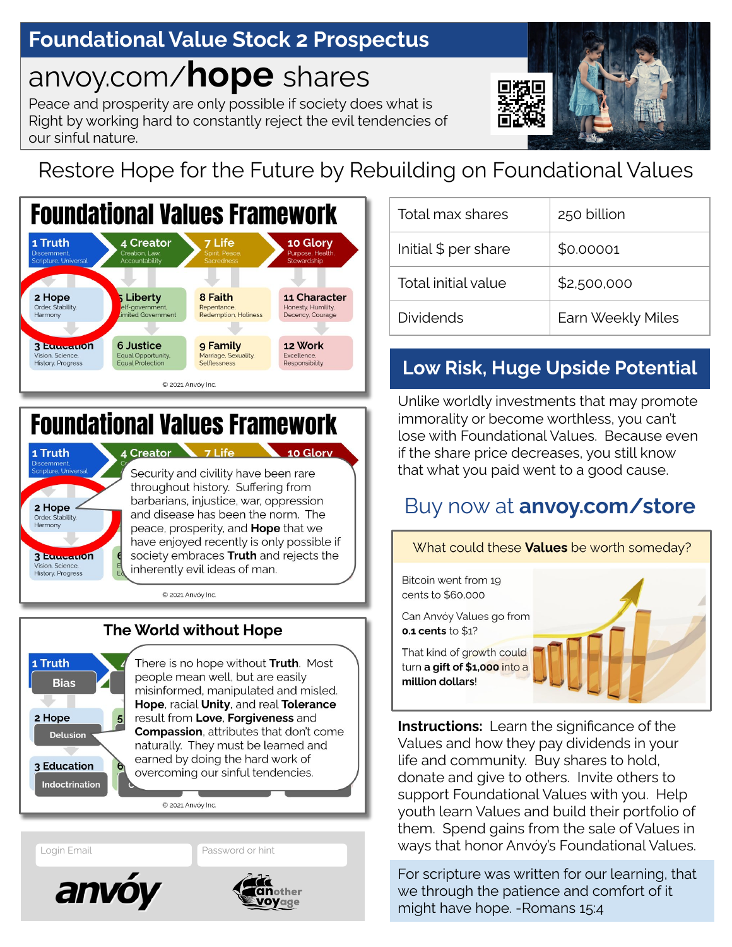## **Foundational Value Stock 1 Prospectus 2 Prospectus**

# anvoy.com/**hope** shares

Peace and prosperity are only possible if society does what is Right by working hard to constantly reject the evil tendencies of our sinful nature.



# Restore Hope for the Future by Rebuilding on Foundational Values



# **Foundational Values Framework**



### 1 Truth **Bias** 2 Hope  $5$ Delusion 3 Education Indoctrination

The World without Hope

There is no hope without Truth. Most people mean well, but are easily misinformed, manipulated and misled. Hope, racial Unity, and real Tolerance result from Love, Forgiveness and **Compassion, attributes that don't come** naturally. They must be learned and earned by doing the hard work of overcoming our sinful tendencies.

C 2021 Anvóy Inc





| Total max shares     | 250 billion       |
|----------------------|-------------------|
| Initial \$ per share | \$0.00001         |
| Total initial value  | \$2,500,000       |
| <b>Dividends</b>     | Earn Weekly Miles |

### **Low Risk, Huge Upside Potential**

Unlike worldly investments that may promote immorality or become worthless, you can't lose with Foundational Values. Because even if the share price decreases, you still know that what you paid went to a good cause.

### Buy now at **anvoy.com/store**



**Instructions:** Learn the significance of the Values and how they pay dividends in your life and community. Buy shares to hold, donate and give to others. Invite others to support Foundational Values with you. Help youth learn Values and build their portfolio of them. Spend gains from the sale of Values in Login Email **Example 2018 19 Assaured Anviel Anviel Anviel Anviel Anviel Values.** Login Email Password or hint

> For scripture was written for our learning, that we through the patience and comfort of it might have hope. -Romans 15:4